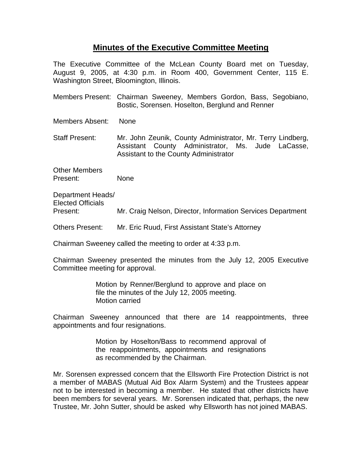## **Minutes of the Executive Committee Meeting**

The Executive Committee of the McLean County Board met on Tuesday, August 9, 2005, at 4:30 p.m. in Room 400, Government Center, 115 E. Washington Street, Bloomington, Illinois.

Members Present: Chairman Sweeney, Members Gordon, Bass, Segobiano, Bostic, Sorensen. Hoselton, Berglund and Renner

Members Absent: None

Staff Present: Mr. John Zeunik, County Administrator, Mr. Terry Lindberg, Assistant County Administrator, Ms. Jude LaCasse, Assistant to the County Administrator

Other Members Present: None

Department Heads/ Elected Officials Present: Mr. Craig Nelson, Director, Information Services Department

Others Present: Mr. Eric Ruud, First Assistant State's Attorney

Chairman Sweeney called the meeting to order at 4:33 p.m.

Chairman Sweeney presented the minutes from the July 12, 2005 Executive Committee meeting for approval.

> Motion by Renner/Berglund to approve and place on file the minutes of the July 12, 2005 meeting. Motion carried

Chairman Sweeney announced that there are 14 reappointments, three appointments and four resignations.

> Motion by Hoselton/Bass to recommend approval of the reappointments, appointments and resignations as recommended by the Chairman.

Mr. Sorensen expressed concern that the Ellsworth Fire Protection District is not a member of MABAS (Mutual Aid Box Alarm System) and the Trustees appear not to be interested in becoming a member. He stated that other districts have been members for several years. Mr. Sorensen indicated that, perhaps, the new Trustee, Mr. John Sutter, should be asked why Ellsworth has not joined MABAS.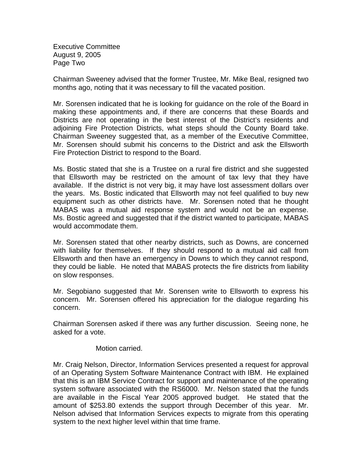Executive Committee August 9, 2005 Page Two

Chairman Sweeney advised that the former Trustee, Mr. Mike Beal, resigned two months ago, noting that it was necessary to fill the vacated position.

Mr. Sorensen indicated that he is looking for guidance on the role of the Board in making these appointments and, if there are concerns that these Boards and Districts are not operating in the best interest of the District's residents and adjoining Fire Protection Districts, what steps should the County Board take. Chairman Sweeney suggested that, as a member of the Executive Committee, Mr. Sorensen should submit his concerns to the District and ask the Ellsworth Fire Protection District to respond to the Board.

Ms. Bostic stated that she is a Trustee on a rural fire district and she suggested that Ellsworth may be restricted on the amount of tax levy that they have available. If the district is not very big, it may have lost assessment dollars over the years. Ms. Bostic indicated that Ellsworth may not feel qualified to buy new equipment such as other districts have. Mr. Sorensen noted that he thought MABAS was a mutual aid response system and would not be an expense. Ms. Bostic agreed and suggested that if the district wanted to participate, MABAS would accommodate them.

Mr. Sorensen stated that other nearby districts, such as Downs, are concerned with liability for themselves. If they should respond to a mutual aid call from Ellsworth and then have an emergency in Downs to which they cannot respond, they could be liable. He noted that MABAS protects the fire districts from liability on slow responses.

Mr. Segobiano suggested that Mr. Sorensen write to Ellsworth to express his concern. Mr. Sorensen offered his appreciation for the dialogue regarding his concern.

Chairman Sorensen asked if there was any further discussion. Seeing none, he asked for a vote.

## Motion carried.

Mr. Craig Nelson, Director, Information Services presented a request for approval of an Operating System Software Maintenance Contract with IBM. He explained that this is an IBM Service Contract for support and maintenance of the operating system software associated with the RS6000. Mr. Nelson stated that the funds are available in the Fiscal Year 2005 approved budget. He stated that the amount of \$253.80 extends the support through December of this year. Mr. Nelson advised that Information Services expects to migrate from this operating system to the next higher level within that time frame.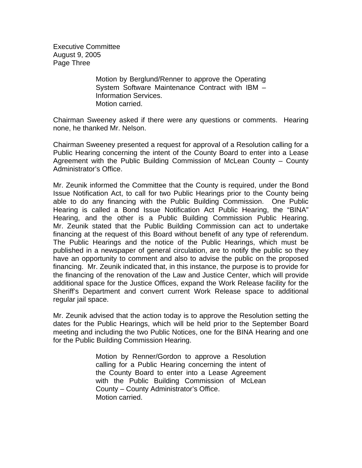Executive Committee August 9, 2005 Page Three

> Motion by Berglund/Renner to approve the Operating System Software Maintenance Contract with IBM – Information Services. Motion carried.

Chairman Sweeney asked if there were any questions or comments. Hearing none, he thanked Mr. Nelson.

Chairman Sweeney presented a request for approval of a Resolution calling for a Public Hearing concerning the intent of the County Board to enter into a Lease Agreement with the Public Building Commission of McLean County – County Administrator's Office.

Mr. Zeunik informed the Committee that the County is required, under the Bond Issue Notification Act, to call for two Public Hearings prior to the County being able to do any financing with the Public Building Commission. One Public Hearing is called a Bond Issue Notification Act Public Hearing, the "BINA" Hearing, and the other is a Public Building Commission Public Hearing. Mr. Zeunik stated that the Public Building Commission can act to undertake financing at the request of this Board without benefit of any type of referendum. The Public Hearings and the notice of the Public Hearings, which must be published in a newspaper of general circulation, are to notify the public so they have an opportunity to comment and also to advise the public on the proposed financing. Mr. Zeunik indicated that, in this instance, the purpose is to provide for the financing of the renovation of the Law and Justice Center, which will provide additional space for the Justice Offices, expand the Work Release facility for the Sheriff's Department and convert current Work Release space to additional regular jail space.

Mr. Zeunik advised that the action today is to approve the Resolution setting the dates for the Public Hearings, which will be held prior to the September Board meeting and including the two Public Notices, one for the BINA Hearing and one for the Public Building Commission Hearing.

> Motion by Renner/Gordon to approve a Resolution calling for a Public Hearing concerning the intent of the County Board to enter into a Lease Agreement with the Public Building Commission of McLean County – County Administrator's Office. Motion carried.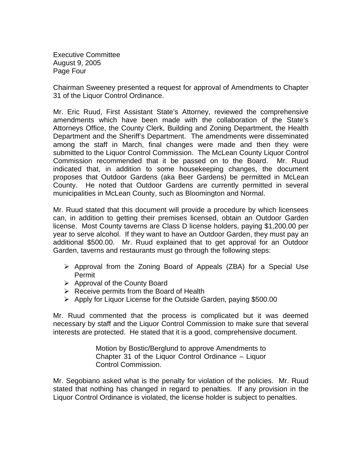Executive Committee August 9, 2005 Page Four

Chairman Sweeney presented a request for approval of Amendments to Chapter 31 of the Liquor Control Ordinance.

Mr. Eric Ruud, First Assistant State's Attorney, reviewed the comprehensive amendments which have been made with the collaboration of the State's Attorneys Office, the County Clerk, Building and Zoning Department, the Health Department and the Sheriff's Department. The amendments were disseminated among the staff in March, final changes were made and then they were submitted to the Liquor Control Commission. The McLean County Liquor Control Commission recommended that it be passed on to the Board. Mr. Ruud indicated that, in addition to some housekeeping changes, the document proposes that Outdoor Gardens (aka Beer Gardens) be permitted in McLean County. He noted that Outdoor Gardens are currently permitted in several municipalities in McLean County, such as Bloomington and Normal.

Mr. Ruud stated that this document will provide a procedure by which licensees can, in addition to getting their premises licensed, obtain an Outdoor Garden license. Most County taverns are Class D license holders, paying \$1,200.00 per year to serve alcohol. If they want to have an Outdoor Garden, they must pay an additional \$500.00. Mr. Ruud explained that to get approval for an Outdoor Garden, taverns and restaurants must go through the following steps:

- $\triangleright$  Approval from the Zoning Board of Appeals (ZBA) for a Special Use Permit
- $\triangleright$  Approval of the County Board
- $\triangleright$  Receive permits from the Board of Health
- ¾ Apply for Liquor License for the Outside Garden, paying \$500.00

Mr. Ruud commented that the process is complicated but it was deemed necessary by staff and the Liquor Control Commission to make sure that several interests are protected. He stated that it is a good, comprehensive document.

> Motion by Bostic/Berglund to approve Amendments to Chapter 31 of the Liquor Control Ordinance – Liquor Control Commission.

Mr. Segobiano asked what is the penalty for violation of the policies. Mr. Ruud stated that nothing has changed in regard to penalties. If any provision in the Liquor Control Ordinance is violated, the license holder is subject to penalties.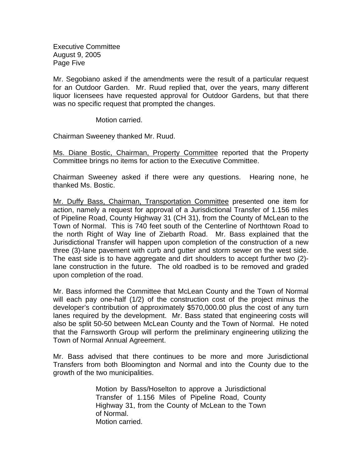Executive Committee August 9, 2005 Page Five

Mr. Segobiano asked if the amendments were the result of a particular request for an Outdoor Garden. Mr. Ruud replied that, over the years, many different liquor licensees have requested approval for Outdoor Gardens, but that there was no specific request that prompted the changes.

Motion carried.

Chairman Sweeney thanked Mr. Ruud.

Ms. Diane Bostic, Chairman, Property Committee reported that the Property Committee brings no items for action to the Executive Committee.

Chairman Sweeney asked if there were any questions. Hearing none, he thanked Ms. Bostic.

Mr. Duffy Bass, Chairman, Transportation Committee presented one item for action, namely a request for approval of a Jurisdictional Transfer of 1.156 miles of Pipeline Road, County Highway 31 (CH 31), from the County of McLean to the Town of Normal. This is 740 feet south of the Centerline of Northtown Road to the north Right of Way line of Ziebarth Road. Mr. Bass explained that the Jurisdictional Transfer will happen upon completion of the construction of a new three (3)-lane pavement with curb and gutter and storm sewer on the west side. The east side is to have aggregate and dirt shoulders to accept further two (2) lane construction in the future. The old roadbed is to be removed and graded upon completion of the road.

Mr. Bass informed the Committee that McLean County and the Town of Normal will each pay one-half (1/2) of the construction cost of the project minus the developer's contribution of approximately \$570,000.00 plus the cost of any turn lanes required by the development. Mr. Bass stated that engineering costs will also be split 50-50 between McLean County and the Town of Normal. He noted that the Farnsworth Group will perform the preliminary engineering utilizing the Town of Normal Annual Agreement.

Mr. Bass advised that there continues to be more and more Jurisdictional Transfers from both Bloomington and Normal and into the County due to the growth of the two municipalities.

> Motion by Bass/Hoselton to approve a Jurisdictional Transfer of 1.156 Miles of Pipeline Road, County Highway 31, from the County of McLean to the Town of Normal. Motion carried.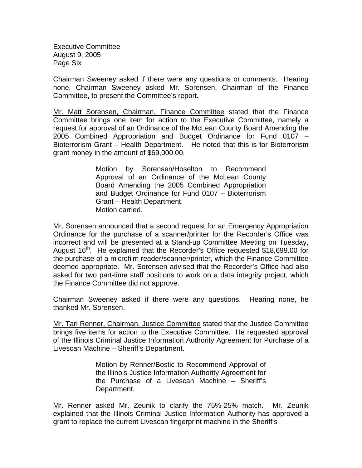Executive Committee August 9, 2005 Page Six

Chairman Sweeney asked if there were any questions or comments. Hearing none, Chairman Sweeney asked Mr. Sorensen, Chairman of the Finance Committee, to present the Committee's report.

Mr. Matt Sorensen, Chairman, Finance Committee stated that the Finance Committee brings one item for action to the Executive Committee, namely a request for approval of an Ordinance of the McLean County Board Amending the 2005 Combined Appropriation and Budget Ordinance for Fund 0107 – Bioterrorism Grant – Health Department. He noted that this is for Bioterrorism grant money in the amount of \$69,000.00.

> Motion by Sorensen/Hoselton to Recommend Approval of an Ordinance of the McLean County Board Amending the 2005 Combined Appropriation and Budget Ordinance for Fund 0107 – Bioterrorism Grant – Health Department. Motion carried.

Mr. Sorensen announced that a second request for an Emergency Appropriation Ordinance for the purchase of a scanner/printer for the Recorder's Office was incorrect and will be presented at a Stand-up Committee Meeting on Tuesday, August  $16<sup>th</sup>$ . He explained that the Recorder's Office requested \$18,699.00 for the purchase of a microfilm reader/scanner/printer, which the Finance Committee deemed appropriate. Mr. Sorensen advised that the Recorder's Office had also asked for two part-time staff positions to work on a data integrity project, which the Finance Committee did not approve.

Chairman Sweeney asked if there were any questions. Hearing none, he thanked Mr. Sorensen.

Mr. Tari Renner, Chairman, Justice Committee stated that the Justice Committee brings five items for action to the Executive Committee. He requested approval of the Illinois Criminal Justice Information Authority Agreement for Purchase of a Livescan Machine – Sheriff's Department.

> Motion by Renner/Bostic to Recommend Approval of the Illinois Justice Information Authority Agreement for the Purchase of a Livescan Machine – Sheriff's Department.

Mr. Renner asked Mr. Zeunik to clarify the 75%-25% match. Mr. Zeunik explained that the Illinois Criminal Justice Information Authority has approved a grant to replace the current Livescan fingerprint machine in the Sheriff's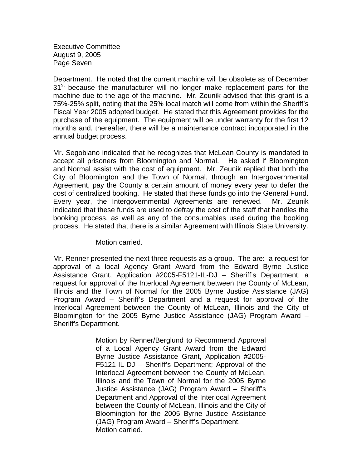Executive Committee August 9, 2005 Page Seven

Department. He noted that the current machine will be obsolete as of December 31<sup>st</sup> because the manufacturer will no longer make replacement parts for the machine due to the age of the machine. Mr. Zeunik advised that this grant is a 75%-25% split, noting that the 25% local match will come from within the Sheriff's Fiscal Year 2005 adopted budget. He stated that this Agreement provides for the purchase of the equipment. The equipment will be under warranty for the first 12 months and, thereafter, there will be a maintenance contract incorporated in the annual budget process.

Mr. Segobiano indicated that he recognizes that McLean County is mandated to accept all prisoners from Bloomington and Normal. He asked if Bloomington and Normal assist with the cost of equipment. Mr. Zeunik replied that both the City of Bloomington and the Town of Normal, through an Intergovernmental Agreement, pay the County a certain amount of money every year to defer the cost of centralized booking. He stated that these funds go into the General Fund. Every year, the Intergovernmental Agreements are renewed. Mr. Zeunik indicated that these funds are used to defray the cost of the staff that handles the booking process, as well as any of the consumables used during the booking process. He stated that there is a similar Agreement with Illinois State University.

## Motion carried.

Mr. Renner presented the next three requests as a group. The are: a request for approval of a local Agency Grant Award from the Edward Byrne Justice Assistance Grant, Application #2005-F5121-IL-DJ – Sheriff's Department; a request for approval of the Interlocal Agreement between the County of McLean, Illinois and the Town of Normal for the 2005 Byrne Justice Assistance (JAG) Program Award – Sheriff's Department and a request for approval of the Interlocal Agreement between the County of McLean, Illinois and the City of Bloomington for the 2005 Byrne Justice Assistance (JAG) Program Award – Sheriff's Department.

> Motion by Renner/Berglund to Recommend Approval of a Local Agency Grant Award from the Edward Byrne Justice Assistance Grant, Application #2005- F5121-IL-DJ – Sheriff's Department; Approval of the Interlocal Agreement between the County of McLean, Illinois and the Town of Normal for the 2005 Byrne Justice Assistance (JAG) Program Award – Sheriff's Department and Approval of the Interlocal Agreement between the County of McLean, Illinois and the City of Bloomington for the 2005 Byrne Justice Assistance (JAG) Program Award – Sheriff's Department. Motion carried.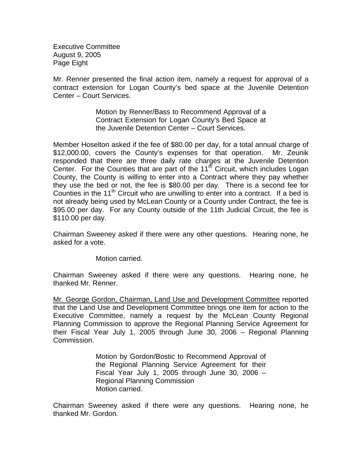Executive Committee August 9, 2005 Page Eight

Mr. Renner presented the final action item, namely a request for approval of a contract extension for Logan County's bed space at the Juvenile Detention Center – Court Services.

> Motion by Renner/Bass to Recommend Approval of a Contract Extension for Logan County's Bed Space at the Juvenile Detention Center – Court Services.

Member Hoselton asked if the fee of \$80.00 per day, for a total annual charge of \$12,000.00, covers the County's expenses for that operation. Mr. Zeunik responded that there are three daily rate charges at the Juvenile Detention Center. For the Counties that are part of the  $11<sup>th</sup>$  Circuit, which includes Logan County, the County is willing to enter into a Contract where they pay whether they use the bed or not, the fee is \$80.00 per day. There is a second fee for Counties in the  $11<sup>th</sup>$  Circuit who are unwilling to enter into a contract. If a bed is not already being used by McLean County or a County under Contract, the fee is \$95.00 per day. For any County outside of the 11th Judicial Circuit, the fee is \$110.00 per day.

Chairman Sweeney asked if there were any other questions. Hearing none, he asked for a vote.

Motion carried.

Chairman Sweeney asked if there were any questions. Hearing none, he thanked Mr. Renner.

Mr. George Gordon, Chairman, Land Use and Development Committee reported that the Land Use and Development Committee brings one item for action to the Executive Committee, namely a request by the McLean County Regional Planning Commission to approve the Regional Planning Service Agreement for their Fiscal Year July 1, 2005 through June 30, 2006 – Regional Planning Commission.

> Motion by Gordon/Bostic to Recommend Approval of the Regional Planning Service Agreement for their Fiscal Year July 1, 2005 through June 30, 2006  $-$ Regional Planning Commission Motion carried.

Chairman Sweeney asked if there were any questions. Hearing none, he thanked Mr. Gordon.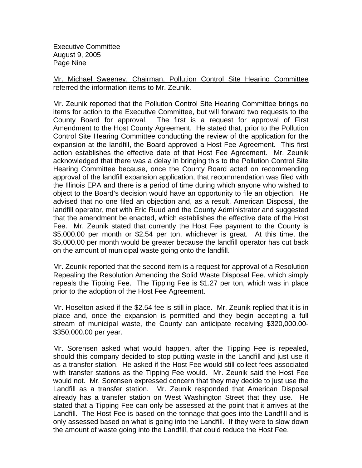Executive Committee August 9, 2005 Page Nine

Mr. Michael Sweeney, Chairman, Pollution Control Site Hearing Committee referred the information items to Mr. Zeunik.

Mr. Zeunik reported that the Pollution Control Site Hearing Committee brings no items for action to the Executive Committee, but will forward two requests to the County Board for approval. The first is a request for approval of First Amendment to the Host County Agreement. He stated that, prior to the Pollution Control Site Hearing Committee conducting the review of the application for the expansion at the landfill, the Board approved a Host Fee Agreement. This first action establishes the effective date of that Host Fee Agreement. Mr. Zeunik acknowledged that there was a delay in bringing this to the Pollution Control Site Hearing Committee because, once the County Board acted on recommending approval of the landfill expansion application, that recommendation was filed with the Illinois EPA and there is a period of time during which anyone who wished to object to the Board's decision would have an opportunity to file an objection. He advised that no one filed an objection and, as a result, American Disposal, the landfill operator, met with Eric Ruud and the County Administrator and suggested that the amendment be enacted, which establishes the effective date of the Host Fee. Mr. Zeunik stated that currently the Host Fee payment to the County is \$5,000.00 per month or \$2.54 per ton, whichever is great. At this time, the \$5,000.00 per month would be greater because the landfill operator has cut back on the amount of municipal waste going onto the landfill.

Mr. Zeunik reported that the second item is a request for approval of a Resolution Repealing the Resolution Amending the Solid Waste Disposal Fee, which simply repeals the Tipping Fee. The Tipping Fee is \$1.27 per ton, which was in place prior to the adoption of the Host Fee Agreement.

Mr. Hoselton asked if the \$2.54 fee is still in place. Mr. Zeunik replied that it is in place and, once the expansion is permitted and they begin accepting a full stream of municipal waste, the County can anticipate receiving \$320,000.00- \$350,000.00 per year.

Mr. Sorensen asked what would happen, after the Tipping Fee is repealed, should this company decided to stop putting waste in the Landfill and just use it as a transfer station. He asked if the Host Fee would still collect fees associated with transfer stations as the Tipping Fee would. Mr. Zeunik said the Host Fee would not. Mr. Sorensen expressed concern that they may decide to just use the Landfill as a transfer station. Mr. Zeunik responded that American Disposal already has a transfer station on West Washington Street that they use. He stated that a Tipping Fee can only be assessed at the point that it arrives at the Landfill. The Host Fee is based on the tonnage that goes into the Landfill and is only assessed based on what is going into the Landfill. If they were to slow down the amount of waste going into the Landfill, that could reduce the Host Fee.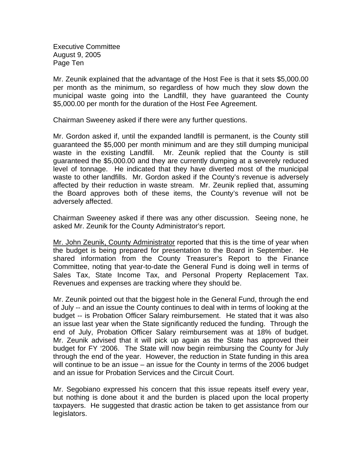Executive Committee August 9, 2005 Page Ten

Mr. Zeunik explained that the advantage of the Host Fee is that it sets \$5,000.00 per month as the minimum, so regardless of how much they slow down the municipal waste going into the Landfill, they have guaranteed the County \$5,000.00 per month for the duration of the Host Fee Agreement.

Chairman Sweeney asked if there were any further questions.

Mr. Gordon asked if, until the expanded landfill is permanent, is the County still guaranteed the \$5,000 per month minimum and are they still dumping municipal waste in the existing Landfill. Mr. Zeunik replied that the County is still guaranteed the \$5,000.00 and they are currently dumping at a severely reduced level of tonnage. He indicated that they have diverted most of the municipal waste to other landfills. Mr. Gordon asked if the County's revenue is adversely affected by their reduction in waste stream. Mr. Zeunik replied that, assuming the Board approves both of these items, the County's revenue will not be adversely affected.

Chairman Sweeney asked if there was any other discussion. Seeing none, he asked Mr. Zeunik for the County Administrator's report.

Mr. John Zeunik, County Administrator reported that this is the time of year when the budget is being prepared for presentation to the Board in September. He shared information from the County Treasurer's Report to the Finance Committee, noting that year-to-date the General Fund is doing well in terms of Sales Tax, State Income Tax, and Personal Property Replacement Tax. Revenues and expenses are tracking where they should be.

Mr. Zeunik pointed out that the biggest hole in the General Fund, through the end of July -- and an issue the County continues to deal with in terms of looking at the budget -- is Probation Officer Salary reimbursement. He stated that it was also an issue last year when the State significantly reduced the funding. Through the end of July, Probation Officer Salary reimbursement was at 18% of budget. Mr. Zeunik advised that it will pick up again as the State has approved their budget for FY '2006. The State will now begin reimbursing the County for July through the end of the year. However, the reduction in State funding in this area will continue to be an issue – an issue for the County in terms of the 2006 budget and an issue for Probation Services and the Circuit Court.

Mr. Segobiano expressed his concern that this issue repeats itself every year, but nothing is done about it and the burden is placed upon the local property taxpayers. He suggested that drastic action be taken to get assistance from our legislators.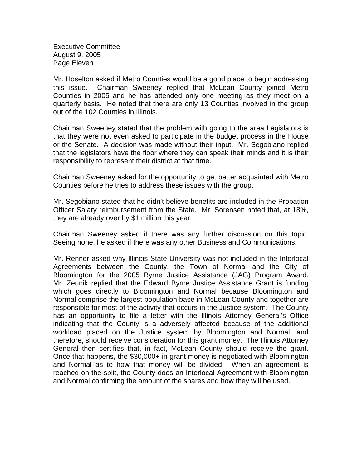Executive Committee August 9, 2005 Page Eleven

Mr. Hoselton asked if Metro Counties would be a good place to begin addressing this issue. Chairman Sweeney replied that McLean County joined Metro Counties in 2005 and he has attended only one meeting as they meet on a quarterly basis. He noted that there are only 13 Counties involved in the group out of the 102 Counties in Illinois.

Chairman Sweeney stated that the problem with going to the area Legislators is that they were not even asked to participate in the budget process in the House or the Senate. A decision was made without their input. Mr. Segobiano replied that the legislators have the floor where they can speak their minds and it is their responsibility to represent their district at that time.

Chairman Sweeney asked for the opportunity to get better acquainted with Metro Counties before he tries to address these issues with the group.

Mr. Segobiano stated that he didn't believe benefits are included in the Probation Officer Salary reimbursement from the State. Mr. Sorensen noted that, at 18%, they are already over by \$1 million this year.

Chairman Sweeney asked if there was any further discussion on this topic. Seeing none, he asked if there was any other Business and Communications.

Mr. Renner asked why Illinois State University was not included in the Interlocal Agreements between the County, the Town of Normal and the City of Bloomington for the 2005 Byrne Justice Assistance (JAG) Program Award. Mr. Zeunik replied that the Edward Byrne Justice Assistance Grant is funding which goes directly to Bloomington and Normal because Bloomington and Normal comprise the largest population base in McLean County and together are responsible for most of the activity that occurs in the Justice system. The County has an opportunity to file a letter with the Illinois Attorney General's Office indicating that the County is a adversely affected because of the additional workload placed on the Justice system by Bloomington and Normal, and therefore, should receive consideration for this grant money. The Illinois Attorney General then certifies that, in fact, McLean County should receive the grant. Once that happens, the \$30,000+ in grant money is negotiated with Bloomington and Normal as to how that money will be divided. When an agreement is reached on the split, the County does an Interlocal Agreement with Bloomington and Normal confirming the amount of the shares and how they will be used.